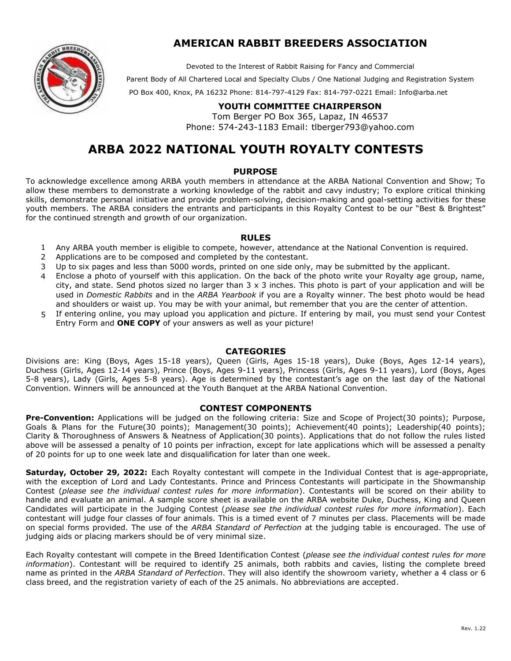

## **AMERICAN RABBIT BREEDERS ASSOCIATION**

Devoted to the Interest of Rabbit Raising for Fancy and Commercial

Parent Body of All Chartered Local and Specialty Clubs / One National Judging and Registration System

PO Box 400, Knox, PA 16232 Phone: 814-797-4129 Fax: 814-797-0221 Email: Info@[arba.net](mailto:Info@arba.net) 

### **YOUTH COMMITTEE CHAIRPERSON**

Tom Berger PO Box 365, Lapaz, IN 46537 Phone: 574-243-1183 Email: tlbe[rger793@yahoo.c](mailto:youth@arba.net)om

# **ARBA 2022 NATIONAL YOUTH ROYALTY CONTESTS**

#### **PURPOSE**

To acknowledge excellence among ARBA youth members in attendance at the ARBA National Convention and Show; To allow these members to demonstrate a working knowledge of the rabbit and cavy industry; To explore critical thinking skills, demonstrate personal initiative and provide problem-solving, decision-making and goal-setting activities for these youth members. The ARBA considers the entrants and participants in this Royalty Contest to be our "Best & Brightest" for the continued strength and growth of our organization.

#### **RULES**

- 1 Any ARBA youth member is eligible to compete, however, attendance at the National Convention is required.
- 2 Applications are to be composed and completed by the contestant.
- 3 Up to six pages and less than 5000 words, printed on one side only, may be submitted by the applicant.
- 4 Enclose a photo of yourself with this application. On the back of the photo write your Royalty age group, name, city, and state. Send photos sized no larger than  $3 \times 3$  inches. This photo is part of your application and will be used in *Domestic Rabbits* and in the *ARBA Yearbook* if you are a Royalty winner. The best photo would be head and shoulders or waist up. You may be with your animal, but remember that you are the center of attention.
- 5 If entering online, you may upload you application and picture. If entering by mail, you must send your Contest Entry Form and **ONE COPY** of your answers as well as your picture!

#### **CATEGORIES**

Divisions are: King (Boys, Ages 15-18 years), Queen (Girls, Ages 15-18 years), Duke (Boys, Ages 12-14 years), Duchess (Girls, Ages 12-14 years), Prince (Boys, Ages 9-11 years), Princess (Girls, Ages 9-11 years), Lord (Boys, Ages 5-8 years), Lady (Girls, Ages 5-8 years). Age is determined by the contestant's age on the last day of the National Convention. Winners will be announced at the Youth Banquet at the ARBA National Convention.

#### **CONTEST COMPONENTS**

Pre-Convention: Applications will be judged on the following criteria: Size and Scope of Project(30 points); Purpose, Goals & Plans for the Future(30 points); Management(30 points); Achievement(40 points); Leadership(40 points); Clarity & Thoroughness of Answers & Neatness of Application(30 points). Applications that do not follow the rules listed above will be assessed a penalty of 10 points per infraction, except for late applications which will be assessed a penalty of 20 points for up to one week late and disqualification for later than one week.

**Saturday, October 29, 2022:** Each Royalty contestant will compete in the Individual Contest that is age-appropriate, with the exception of Lord and Lady Contestants. Prince and Princess Contestants will participate in the Showmanship Contest (*please see the individual contest rules for more information*). Contestants will be scored on their ability to handle and evaluate an animal. A sample score sheet is available on the ARBA website Duke, Duchess, King and Queen Candidates will participate in the Judging Contest (*please see the individual contest rules for more information*). Each contestant will judge four classes of four animals. This is a timed event of 7 minutes per class. Placements will be made on special forms provided. The use of the *ARBA Standard of Perfection* at the judging table is encouraged. The use of judging aids or placing markers should be of very minimal size.

Each Royalty contestant will compete in the Breed Identification Contest (*please see the individual contest rules for more information*). Contestant will be required to identify 25 animals, both rabbits and cavies, listing the complete breed name as printed in the *ARBA Standard of Perfection*. They will also identify the showroom variety, whether a 4 class or 6 class breed, and the registration variety of each of the 25 animals. No abbreviations are accepted.